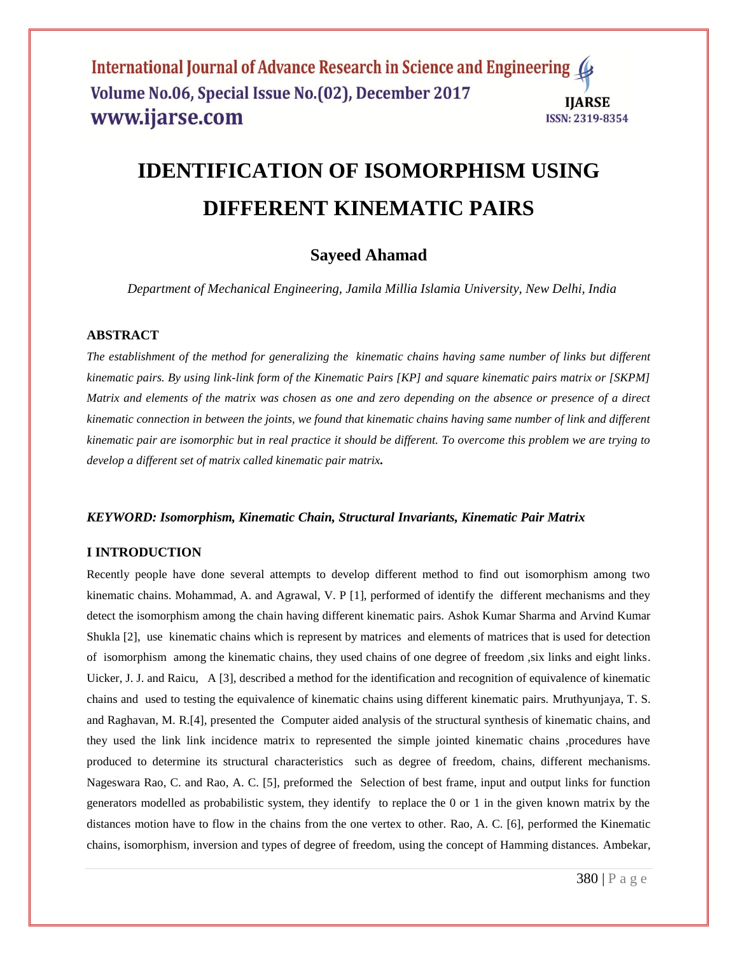### International Journal of Advance Research in Science and Engineering Volume No.06, Special Issue No.(02), December 2017 **IIARSE** www.ijarse.com **ISSN: 2319-8354**

# **IDENTIFICATION OF ISOMORPHISM USING DIFFERENT KINEMATIC PAIRS**

# **Sayeed Ahamad**

*Department of Mechanical Engineering, Jamila Millia Islamia University, New Delhi, India*

#### **ABSTRACT**

*The establishment of the method for generalizing the kinematic chains having same number of links but different kinematic pairs. By using link-link form of the Kinematic Pairs [KP] and square kinematic pairs matrix or [SKPM] Matrix and elements of the matrix was chosen as one and zero depending on the absence or presence of a direct kinematic connection in between the joints, we found that kinematic chains having same number of link and different kinematic pair are isomorphic but in real practice it should be different. To overcome this problem we are trying to develop a different set of matrix called kinematic pair matrix.*

#### *KEYWORD: Isomorphism, Kinematic Chain, Structural Invariants, Kinematic Pair Matrix*

#### **I INTRODUCTION**

Recently people have done several attempts to develop different method to find out isomorphism among two kinematic chains. Mohammad, A. and Agrawal, V. P [1], performed of identify the different mechanisms and they detect the isomorphism among the chain having different kinematic pairs. Ashok Kumar Sharma and Arvind Kumar Shukla [2], use kinematic chains which is represent by matrices and elements of matrices that is used for detection of isomorphism among the kinematic chains, they used chains of one degree of freedom ,six links and eight links. Uicker, J. J. and Raicu, A [3], described a method for the identification and recognition of equivalence of kinematic chains and used to testing the equivalence of kinematic chains using different kinematic pairs. Mruthyunjaya, T. S. and Raghavan, M. R.[4], presented the Computer aided analysis of the structural synthesis of kinematic chains, and they used the link link incidence matrix to represented the simple jointed kinematic chains ,procedures have produced to determine its structural characteristics such as degree of freedom, chains, different mechanisms. Nageswara Rao, C. and Rao, A. C. [5], preformed the Selection of best frame, input and output links for function generators modelled as probabilistic system, they identify to replace the 0 or 1 in the given known matrix by the distances motion have to flow in the chains from the one vertex to other. Rao, A. C. [6], performed the Kinematic chains, isomorphism, inversion and types of degree of freedom, using the concept of Hamming distances. Ambekar,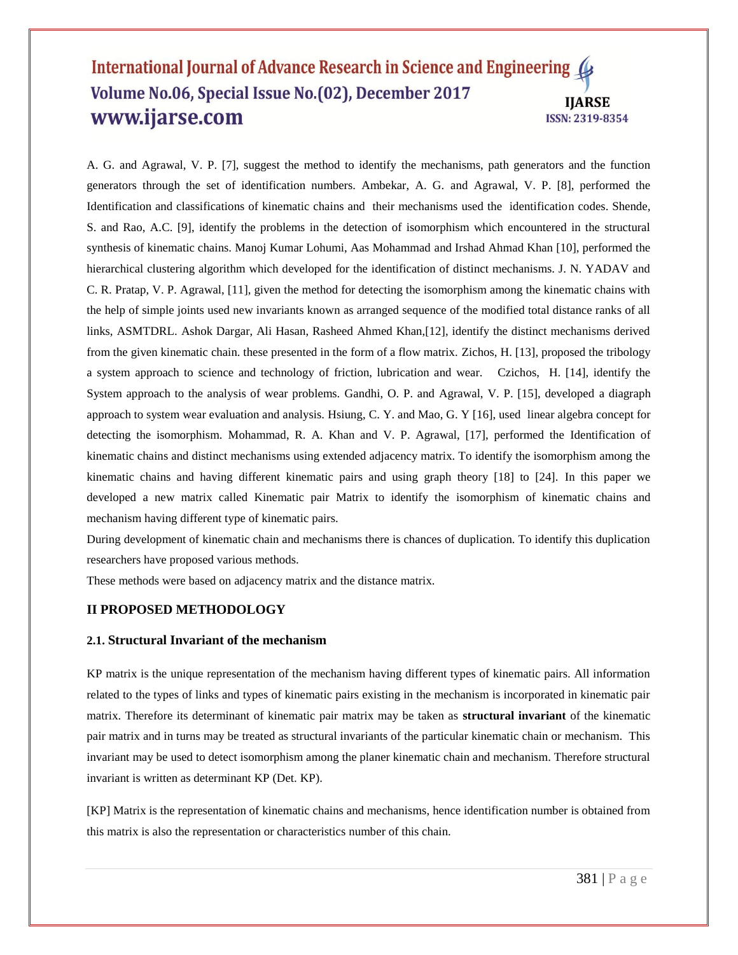#### International Journal of Advance Research in Science and Engineering Volume No.06, Special Issue No.(02), December 2017 **IIARSE** www.ijarse.com ISSN: 2319-8354

A. G. and Agrawal, V. P. [7], suggest the method to identify the mechanisms, path generators and the function generators through the set of identification numbers. Ambekar, A. G. and Agrawal, V. P. [8], performed the Identification and classifications of kinematic chains and their mechanisms used the identification codes. Shende, S. and Rao, A.C. [9], identify the problems in the detection of isomorphism which encountered in the structural synthesis of kinematic chains. Manoj Kumar Lohumi, Aas Mohammad and Irshad Ahmad Khan [10], performed the hierarchical clustering algorithm which developed for the identification of distinct mechanisms. J. N. YADAV and C. R. Pratap, V. P. Agrawal, [11], given the method for detecting the isomorphism among the kinematic chains with the help of simple joints used new invariants known as arranged sequence of the modified total distance ranks of all links, ASMTDRL. Ashok Dargar, Ali Hasan, Rasheed Ahmed Khan,[12], identify the distinct mechanisms derived from the given kinematic chain. these presented in the form of a flow matrix. Zichos, H. [13], proposed the tribology a system approach to science and technology of friction, lubrication and wear. Czichos, H. [14], identify the System approach to the analysis of wear problems. Gandhi, O. P. and Agrawal, V. P. [15], developed a diagraph approach to system wear evaluation and analysis. Hsiung, C. Y. and Mao, G. Y [16], used linear algebra concept for detecting the isomorphism. Mohammad, R. A. Khan and V. P. Agrawal, [17], performed the Identification of kinematic chains and distinct mechanisms using extended adjacency matrix. To identify the isomorphism among the kinematic chains and having different kinematic pairs and using graph theory [18] to [24]. In this paper we developed a new matrix called Kinematic pair Matrix to identify the isomorphism of kinematic chains and mechanism having different type of kinematic pairs.

During development of kinematic chain and mechanisms there is chances of duplication. To identify this duplication researchers have proposed various methods.

These methods were based on adjacency matrix and the distance matrix.

### **II PROPOSED METHODOLOGY**

#### **2.1. Structural Invariant of the mechanism**

KP matrix is the unique representation of the mechanism having different types of kinematic pairs. All information related to the types of links and types of kinematic pairs existing in the mechanism is incorporated in kinematic pair matrix. Therefore its determinant of kinematic pair matrix may be taken as **structural invariant** of the kinematic pair matrix and in turns may be treated as structural invariants of the particular kinematic chain or mechanism. This invariant may be used to detect isomorphism among the planer kinematic chain and mechanism. Therefore structural invariant is written as determinant KP (Det. KP).

[KP] Matrix is the representation of kinematic chains and mechanisms, hence identification number is obtained from this matrix is also the representation or characteristics number of this chain.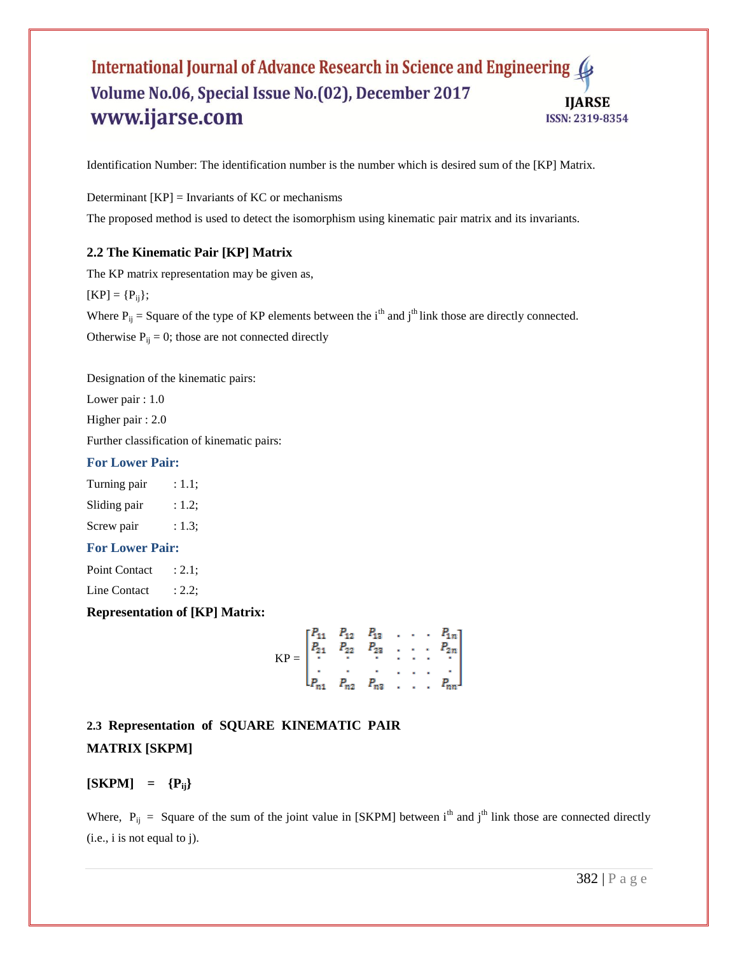#### International Journal of Advance Research in Science and Engineering 4 Volume No.06, Special Issue No.(02), December 2017 **IJARSE** www.ijarse.com ISSN: 2319-8354

Identification Number: The identification number is the number which is desired sum of the [KP] Matrix.

Determinant  $[KP] = Invariants of KC or mechanisms$ The proposed method is used to detect the isomorphism using kinematic pair matrix and its invariants.

## **2.2 The Kinematic Pair [KP] Matrix**

The KP matrix representation may be given as,  $[KP] = {P_{ij}};$ Where  $P_{ij}$  = Square of the type of KP elements between the i<sup>th</sup> and j<sup>th</sup> link those are directly connected. Otherwise  $P_{ij} = 0$ ; those are not connected directly

Designation of the kinematic pairs:

Lower pair : 1.0

Higher pair : 2.0

Further classification of kinematic pairs:

#### **For Lower Pair:**

Turning pair : 1.1;

Sliding pair : 1.2;

Screw pair : 1.3;

#### **For Lower Pair:**

Point Contact : 2.1;

Line Contact : 2.2;

**Representation of [KP] Matrix:**

$$
KP = \begin{bmatrix} P_{11} & P_{12} & P_{13} & \cdots & P_{1n} \\ P_{21} & P_{22} & P_{23} & \cdots & P_{2n} \\ \vdots & \vdots & \vdots & \ddots & \vdots \\ P_{n1} & P_{n2} & P_{n3} & \cdots & P_{nn} \end{bmatrix}
$$

# **2.3 Representation of SQUARE KINEMATIC PAIR MATRIX [SKPM]**

 $[SKPM] = {P_{ii}}$ 

Where,  $P_{ij}$  = Square of the sum of the joint value in [SKPM] between i<sup>th</sup> and j<sup>th</sup> link those are connected directly (i.e., i is not equal to j).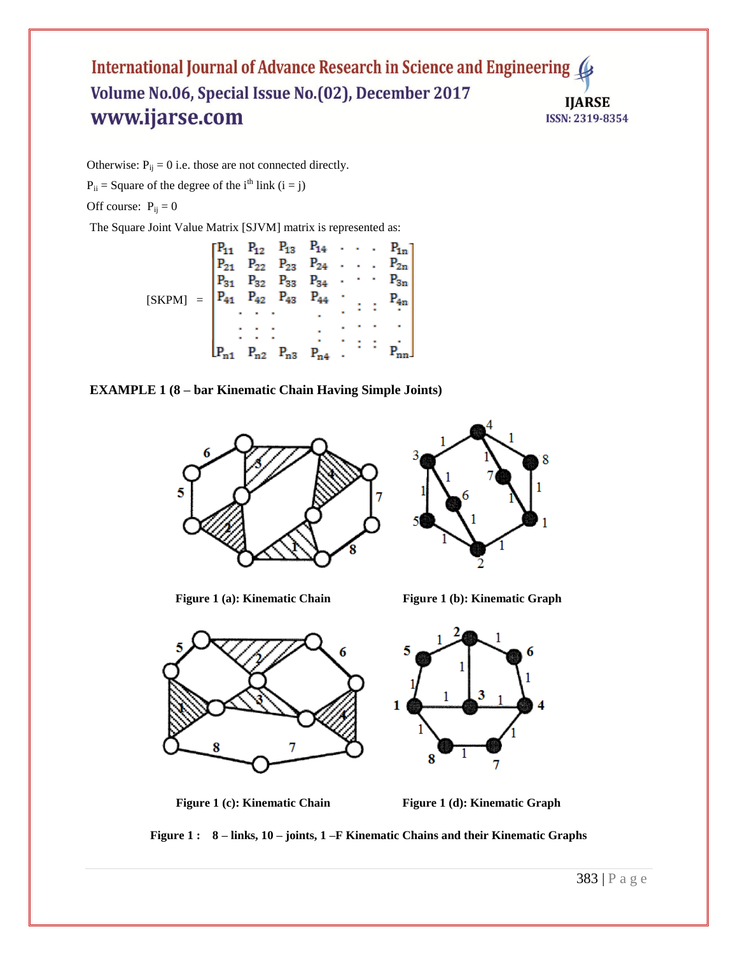### International Journal of Advance Research in Science and Engineering Volume No.06, Special Issue No.(02), December 2017 **IJARSE** www.ijarse.com ISSN: 2319-8354

Otherwise:  $P_{ij} = 0$  i.e. those are not connected directly.

 $P_{ii}$  = Square of the degree of the i<sup>th</sup> link (i = j)

Off course:  $P_{ij} = 0$ 

The Square Joint Value Matrix [SJVM] matrix is represented as:

|        | $\mathsf{f} \mathsf{P}_{11}$                                                               | $P_{12}$ |          | $P_{13}$ $P_{14}$ $\cdots$ $P_{1n}$ |                |                    |                              |
|--------|--------------------------------------------------------------------------------------------|----------|----------|-------------------------------------|----------------|--------------------|------------------------------|
|        |                                                                                            | $P_{22}$ |          | $P_{23}$ $P_{24}$ $P_{2n}$          |                |                    |                              |
|        | $P_{31}$                                                                                   |          |          | $P_{32}$ $P_{33}$ $P_{34}$ .        |                |                    | $\cdots$ $P_{3n}$            |
| [SKPM] | $\begin{vmatrix} P_{41} & P_{42} & P_{43} & P_{44} & \cdots & P_{4n} \end{vmatrix}$<br>$=$ |          |          |                                     |                |                    |                              |
|        |                                                                                            |          |          | $\mathbf{r}$                        | ×              |                    |                              |
|        |                                                                                            |          |          |                                     |                |                    |                              |
|        |                                                                                            |          |          | ×                                   |                | <b>Participate</b> | $\vdots$ $\mathbf{p}_{nn}$ . |
|        |                                                                                            | $P_{n2}$ | $P_{n3}$ | $P_{n4}$                            | $\sim 10^{-1}$ |                    |                              |

#### **EXAMPLE 1 (8 – bar Kinematic Chain Having Simple Joints)**



**Figure 1 (a): Kinematic Chain** Figure 1 (b): Kinematic Graph



**Figure 1 (c): Kinematic Chain** Figure 1 (d): Kinematic Graph

**Figure 1 : 8 – links, 10 – joints, 1 –F Kinematic Chains and their Kinematic Graphs**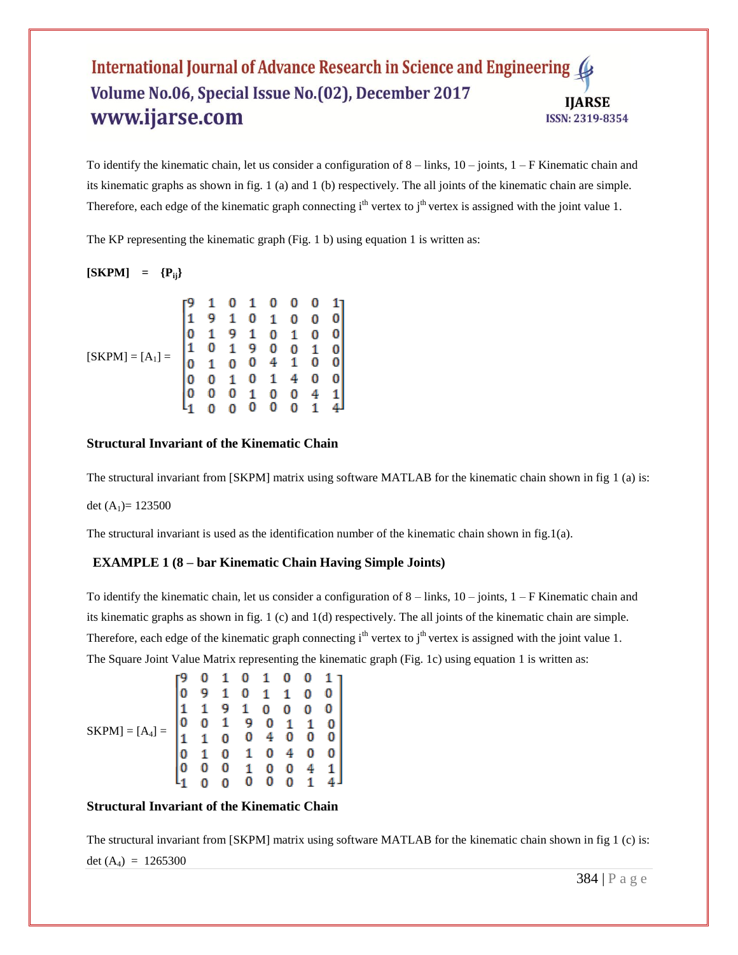#### International Journal of Advance Research in Science and Engineering ( Volume No.06, Special Issue No.(02), December 2017 IJARSE www.ijarse.com ISSN: 2319-8354

To identify the kinematic chain, let us consider a configuration of  $8 -$ links,  $10 -$ joints,  $1 - F$ Kinematic chain and its kinematic graphs as shown in fig. 1 (a) and 1 (b) respectively. The all joints of the kinematic chain are simple. Therefore, each edge of the kinematic graph connecting  $i<sup>th</sup>$  vertex to  $j<sup>th</sup>$  vertex is assigned with the joint value 1.

The KP representing the kinematic graph (Fig. 1 b) using equation 1 is written as:

## $[SKPM] = {P_{ii}}$

|                    |  |   | 0 | 0            |   | 11 |  |
|--------------------|--|---|---|--------------|---|----|--|
|                    |  | 0 | 1 | 0            |   |    |  |
|                    |  | 1 | 0 | 1            |   |    |  |
|                    |  | 9 | 0 | 0            |   |    |  |
| $[SKPM] = [A_1] =$ |  | 0 | 4 | $\mathbf{1}$ | 0 |    |  |
|                    |  | 0 | 1 |              |   |    |  |
|                    |  |   | 0 | 0            |   |    |  |
|                    |  |   | 0 |              |   |    |  |

### **Structural Invariant of the Kinematic Chain**

The structural invariant from [SKPM] matrix using software MATLAB for the kinematic chain shown in fig 1 (a) is:

det  $(A_1) = 123500$ 

The structural invariant is used as the identification number of the kinematic chain shown in fig.1(a).

#### **EXAMPLE 1 (8 – bar Kinematic Chain Having Simple Joints)**

To identify the kinematic chain, let us consider a configuration of  $8 -$ links,  $10 -$ joints,  $1 -$ F Kinematic chain and its kinematic graphs as shown in fig. 1 (c) and 1(d) respectively. The all joints of the kinematic chain are simple. Therefore, each edge of the kinematic graph connecting  $i<sup>th</sup>$  vertex to  $j<sup>th</sup>$  vertex is assigned with the joint value 1. The Square Joint Value Matrix representing the kinematic graph (Fig. 1c) using equation 1 is written as:

|                                |   |  | 0 | $\mathbf{1}$                                 | 0                  | 0            |   |
|--------------------------------|---|--|---|----------------------------------------------|--------------------|--------------|---|
| $SKPM$ ] = [A <sub>4</sub> ] = |   |  | 0 | 1                                            | 1                  |              |   |
|                                |   |  | 1 | 0                                            | 0                  | 0            |   |
|                                | 0 |  | 9 |                                              |                    | $\mathbf{1}$ |   |
|                                | 1 |  | 0 | $\begin{matrix} 0 & 1 \\ 4 & 0 \end{matrix}$ |                    | 0            | 0 |
|                                |   |  | 1 | 0                                            | 4                  | 0            |   |
|                                |   |  | 1 | 0                                            | $^{\rm o}_{\rm o}$ |              |   |
|                                |   |  | 0 | 0                                            |                    | 1            |   |

#### **Structural Invariant of the Kinematic Chain**

The structural invariant from [SKPM] matrix using software MATLAB for the kinematic chain shown in fig 1 (c) is: det  $(A_4) = 1265300$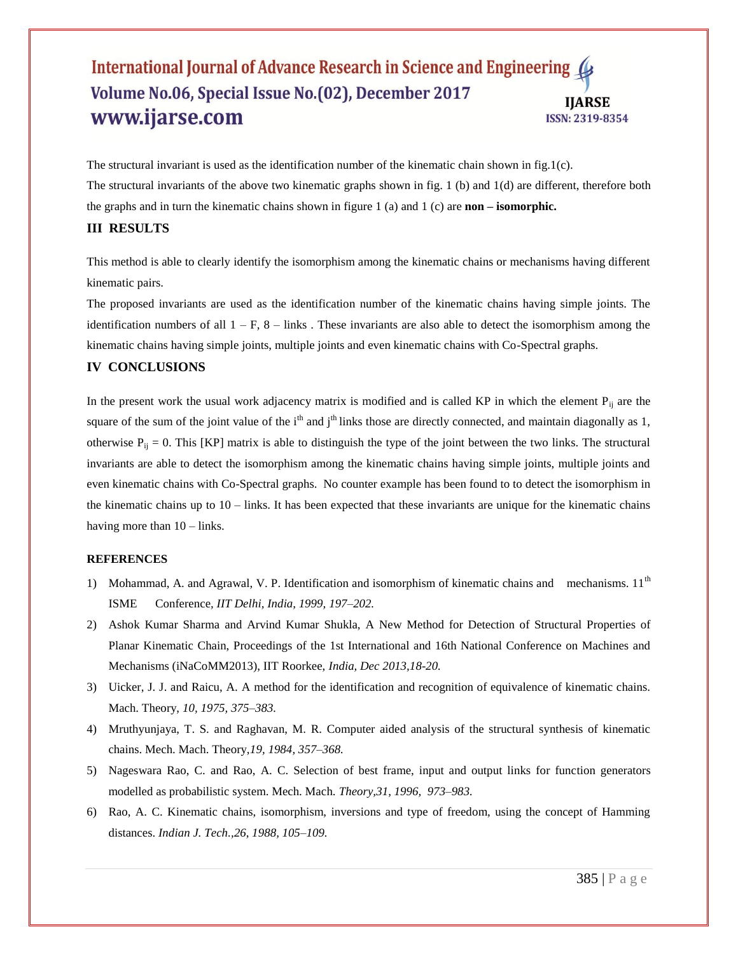#### International Journal of Advance Research in Science and Engineering ( Volume No.06, Special Issue No.(02), December 2017 IIARSE www.ijarse.com ISSN: 2319-8354

The structural invariant is used as the identification number of the kinematic chain shown in fig.1(c). The structural invariants of the above two kinematic graphs shown in fig. 1 (b) and 1(d) are different, therefore both the graphs and in turn the kinematic chains shown in figure 1 (a) and 1 (c) are **non – isomorphic.**

#### **III RESULTS**

This method is able to clearly identify the isomorphism among the kinematic chains or mechanisms having different kinematic pairs.

The proposed invariants are used as the identification number of the kinematic chains having simple joints. The identification numbers of all  $1 - F$ ,  $8 -$  links. These invariants are also able to detect the isomorphism among the kinematic chains having simple joints, multiple joints and even kinematic chains with Co-Spectral graphs.

#### **IV CONCLUSIONS**

In the present work the usual work adjacency matrix is modified and is called KP in which the element  $P_{ii}$  are the square of the sum of the joint value of the i<sup>th</sup> and j<sup>th</sup> links those are directly connected, and maintain diagonally as 1, otherwise  $P_{ij} = 0$ . This [KP] matrix is able to distinguish the type of the joint between the two links. The structural invariants are able to detect the isomorphism among the kinematic chains having simple joints, multiple joints and even kinematic chains with Co-Spectral graphs. No counter example has been found to to detect the isomorphism in the kinematic chains up to  $10 - \text{links}$ . It has been expected that these invariants are unique for the kinematic chains having more than  $10 - \text{links}$ .

#### **REFERENCES**

- 1) Mohammad, A. and Agrawal, V. P. Identification and isomorphism of kinematic chains and mechanisms.  $11<sup>th</sup>$ ISME Conference*, IIT Delhi, India, 1999, 197–202.*
- 2) Ashok Kumar Sharma and Arvind Kumar Shukla, A New Method for Detection of Structural Properties of Planar Kinematic Chain, Proceedings of the 1st International and 16th National Conference on Machines and Mechanisms (iNaCoMM2013), IIT Roorkee, *India, Dec 2013,18-20.*
- 3) Uicker, J. J. and Raicu, A. A method for the identification and recognition of equivalence of kinematic chains. Mach. Theory, *10, 1975, 375–383.*
- 4) Mruthyunjaya, T. S. and Raghavan, M. R. Computer aided analysis of the structural synthesis of kinematic chains. Mech. Mach. Theory,*19, 1984, 357–368.*
- 5) Nageswara Rao, C. and Rao, A. C. Selection of best frame, input and output links for function generators modelled as probabilistic system. Mech. Mach. *Theory,31, 1996, 973–983.*
- 6) Rao, A. C. Kinematic chains, isomorphism, inversions and type of freedom, using the concept of Hamming distances. *Indian J. Tech.,26, 1988, 105–109.*